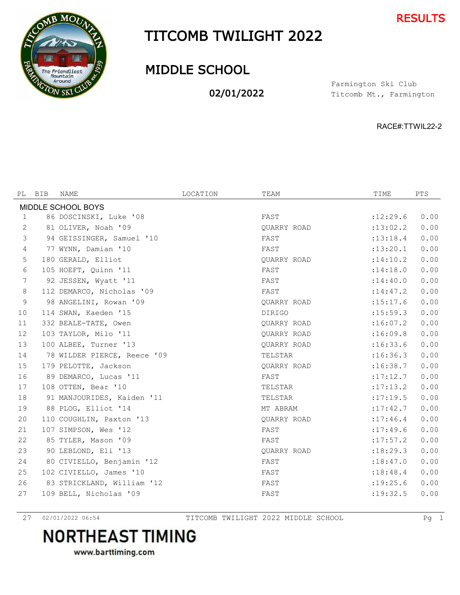



## TITCOMB TWILIGHT 2022

## MIDDLE SCHOOL

02/01/2022

Titcomb Mt., Farmington Farmington Ski Club

RACE#:TTWIL22-2

| PL                 | BIB | NAME                        | LOCATION | TEAM          | TIME       | PTS  |  |  |
|--------------------|-----|-----------------------------|----------|---------------|------------|------|--|--|
| MIDDLE SCHOOL BOYS |     |                             |          |               |            |      |  |  |
| 1                  |     | 86 DOSCINSKI, Luke '08      |          | FAST          | :12:29.6   | 0.00 |  |  |
| 2                  |     | 81 OLIVER, Noah '09         |          | OUARRY ROAD   | : 13:02.2  | 0.00 |  |  |
| 3                  |     | 94 GEISSINGER, Samuel '10   |          | FAST          | : 13: 18.4 | 0.00 |  |  |
| 4                  |     | 77 WYNN, Damian '10         |          | FAST          | : 13: 20.1 | 0.00 |  |  |
| 5                  |     | 180 GERALD, Elliot          |          | OUARRY ROAD   | : 14:10.2  | 0.00 |  |  |
| 6                  |     | 105 HOEFT, Quinn '11        |          | FAST          | : 14:18.0  | 0.00 |  |  |
| 7                  |     | 92 JESSEN, Wyatt '11        |          | FAST          | : 14:40.0  | 0.00 |  |  |
| 8                  |     | 112 DEMARCO, Nicholas '09   |          | FAST          | : 14: 47.2 | 0.00 |  |  |
| 9                  |     | 98 ANGELINI, Rowan '09      |          | QUARRY ROAD   | :15:17.6   | 0.00 |  |  |
| 10                 |     | 114 SWAN, Kaeden '15        |          | <b>DIRIGO</b> | : 15:59.3  | 0.00 |  |  |
| 11                 |     | 332 BEALE-TATE, Owen        |          | QUARRY ROAD   | :16:07.2   | 0.00 |  |  |
| 12                 |     | 103 TAYLOR, Milo '11        |          | QUARRY ROAD   | :16:09.8   | 0.00 |  |  |
| 13                 |     | 100 ALBEE, Turner '13       |          | QUARRY ROAD   | :16:33.6   | 0.00 |  |  |
| 14                 |     | 78 WILDER PIERCE, Reece '09 |          | TELSTAR       | :16:36.3   | 0.00 |  |  |
| 15                 |     | 179 PELOTTE, Jackson        |          | QUARRY ROAD   | :16:38.7   | 0.00 |  |  |
| 16                 |     | 89 DEMARCO, Lucas '11       |          | FAST          | :17:12.7   | 0.00 |  |  |
| 17                 |     | 108 OTTEN, Bear '10         |          | TELSTAR       | :17:13.2   | 0.00 |  |  |
| 18                 |     | 91 MANJOURIDES, Kaiden '11  |          | TELSTAR       | :17:19.5   | 0.00 |  |  |
| 19                 |     | 88 PLOG, Elliot '14         |          | MT ABRAM      | :17:42.7   | 0.00 |  |  |
| 20                 |     | 110 COUGHLIN, Paxton '13    |          | QUARRY ROAD   | : 17:46.4  | 0.00 |  |  |
| 21                 |     | 107 SIMPSON, Wes '12        |          | FAST          | :17:49.6   | 0.00 |  |  |
| 22                 |     | 85 TYLER, Mason '09         |          | FAST          | :17:57.2   | 0.00 |  |  |
| 23                 |     | 90 LEBLOND, Eli '13         |          | QUARRY ROAD   | :18:29.3   | 0.00 |  |  |
| 24                 |     | 80 CIVIELLO, Benjamin '12   |          | FAST          | :18:47.0   | 0.00 |  |  |
| 25                 |     | 102 CIVIELLO, James '10     |          | FAST          | : 18: 48.4 | 0.00 |  |  |
| 26                 |     | 83 STRICKLAND, William '12  |          | FAST          | : 19: 25.6 | 0.00 |  |  |
| 27                 |     | 109 BELL, Nicholas '09      |          | FAST          | : 19: 32.5 | 0.00 |  |  |

02/01/2022 06:54 TITCOMB TWILIGHT 2022 MIDDLE SCHOOL Pg 1

## **NORTHEAST TIMING**

www.barttiming.com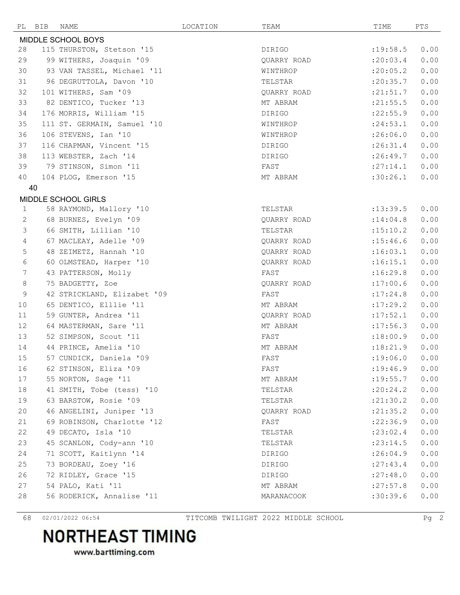| PL                 | BIB | NAME                        | LOCATION | TEAM        | TIME       | PTS  |  |
|--------------------|-----|-----------------------------|----------|-------------|------------|------|--|
| MIDDLE SCHOOL BOYS |     |                             |          |             |            |      |  |
| 28                 |     | 115 THURSTON, Stetson '15   |          | DIRIGO      | :19:58.5   | 0.00 |  |
| 29                 |     | 99 WITHERS, Joaquin '09     |          | QUARRY ROAD | : 20:03.4  | 0.00 |  |
| 30                 |     | 93 VAN TASSEL, Michael '11  |          | WINTHROP    | : 20:05.2  | 0.00 |  |
| 31                 |     | 96 DEGRUTTOLA, Davon '10    |          | TELSTAR     | : 20: 35.7 | 0.00 |  |
| 32                 |     | 101 WITHERS, Sam '09        |          | QUARRY ROAD | : 21: 51.7 | 0.00 |  |
| 33                 |     | 82 DENTICO, Tucker '13      |          | MT ABRAM    | : 21: 55.5 | 0.00 |  |
| 34                 |     | 176 MORRIS, William '15     |          | DIRIGO      | : 22: 55.9 | 0.00 |  |
| 35                 |     | 111 ST. GERMAIN, Samuel '10 |          | WINTHROP    | : 24:53.1  | 0.00 |  |
| 36                 |     | 106 STEVENS, Ian '10        |          | WINTHROP    | :26:06.0   | 0.00 |  |
| 37                 |     | 116 CHAPMAN, Vincent '15    |          | DIRIGO      | :26:31.4   | 0.00 |  |
| 38                 |     | 113 WEBSTER, Zach '14       |          | DIRIGO      | :26:49.7   | 0.00 |  |
| 39                 |     | 79 STINSON, Simon '11       |          | FAST        | : 27:14.1  | 0.00 |  |
| 40                 |     | 104 PLOG, Emerson '15       |          | MT ABRAM    | :30:26.1   | 0.00 |  |
|                    | 40  |                             |          |             |            |      |  |
|                    |     | MIDDLE SCHOOL GIRLS         |          |             |            |      |  |
| 1                  |     | 58 RAYMOND, Mallory '10     |          | TELSTAR     | : 13: 39.5 | 0.00 |  |
| 2                  |     | 68 BURNES, Evelyn '09       |          | QUARRY ROAD | : 14:04.8  | 0.00 |  |
| 3                  |     | 66 SMITH, Lillian '10       |          | TELSTAR     | : 15: 10.2 | 0.00 |  |
| 4                  |     | 67 MACLEAY, Adelle '09      |          | QUARRY ROAD | : 15: 46.6 | 0.00 |  |
| $\mathsf S$        |     | 48 ZEIMETZ, Hannah '10      |          | QUARRY ROAD | :16:03.1   | 0.00 |  |
| $6\,$              |     | 60 OLMSTEAD, Harper '10     |          | QUARRY ROAD | :16:15.1   | 0.00 |  |
| 7                  |     | 43 PATTERSON, Molly         |          | FAST        | :16:29.8   | 0.00 |  |
| $\,8\,$            |     | 75 BADGETTY, Zoe            |          | QUARRY ROAD | :17:00.6   | 0.00 |  |
| 9                  |     | 42 STRICKLAND, Elizabet '09 |          | FAST        | :17:24.8   | 0.00 |  |
| 10                 |     | 65 DENTICO, Elllie '11      |          | MT ABRAM    | :17:29.2   | 0.00 |  |
| 11                 |     | 59 GUNTER, Andrea '11       |          | QUARRY ROAD | :17:52.1   | 0.00 |  |
| $12 \overline{ }$  |     | 64 MASTERMAN, Sare '11      |          | MT ABRAM    | : 17:56.3  | 0.00 |  |
| 13                 |     | 52 SIMPSON, Scout '11       |          | FAST        | :18:00.9   | 0.00 |  |
| 14                 |     | 44 PRINCE, Amelia '10       |          | MT ABRAM    | :18:21.9   | 0.00 |  |
| 15                 |     | 57 CUNDICK, Daniela '09     |          | FAST        | :19:06.0   | 0.00 |  |
| 16                 |     | 62 STINSON, Eliza '09       |          | FAST        | : 19: 46.9 | 0.00 |  |
| 17                 |     | 55 NORTON, Sage '11         |          | MT ABRAM    | : 19: 55.7 | 0.00 |  |
| 18                 |     | 41 SMITH, Tobe (tess) '10   |          | TELSTAR     | : 20: 24.2 | 0.00 |  |
| 19                 |     | 63 BARSTOW, Rosie '09       |          | TELSTAR     | : 21: 30.2 | 0.00 |  |
| 20                 |     | 46 ANGELINI, Juniper '13    |          | QUARRY ROAD | : 21: 35.2 | 0.00 |  |
| 21                 |     | 69 ROBINSON, Charlotte '12  |          | FAST        | : 22:36.9  | 0.00 |  |
| 22                 |     | 49 DECATO, Isla '10         |          | TELSTAR     | : 23:02.4  | 0.00 |  |
| 23                 |     | 45 SCANLON, Cody-ann '10    |          | TELSTAR     | : 23:14.5  | 0.00 |  |
| 24                 |     | 71 SCOTT, Kaitlynn '14      |          | DIRIGO      | : 26:04.9  | 0.00 |  |
| 25                 |     | 73 BORDEAU, Zoey '16        |          | DIRIGO      | : 27: 43.4 | 0.00 |  |
| 26                 |     | 72 RIDLEY, Grace '15        |          | DIRIGO      | : 27:48.0  | 0.00 |  |
| 27                 |     | 54 PALO, Kati '11           |          | MT ABRAM    | : 27:57.8  | 0.00 |  |
| 28                 |     | 56 RODERICK, Annalise '11   |          | MARANACOOK  | :30:39.6   | 0.00 |  |
|                    |     |                             |          |             |            |      |  |

02/01/2022 06:54 TITCOMB TWILIGHT 2022 MIDDLE SCHOOL Pg 2

## **NORTHEAST TIMING**

www.barttiming.com